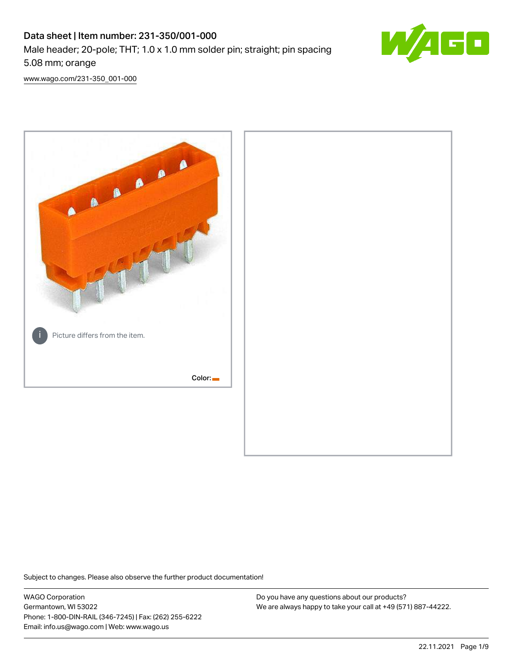# Data sheet | Item number: 231-350/001-000 Male header; 20-pole; THT; 1.0 x 1.0 mm solder pin; straight; pin spacing 5.08 mm; orange



[www.wago.com/231-350\\_001-000](http://www.wago.com/231-350_001-000)



Subject to changes. Please also observe the further product documentation!

WAGO Corporation Germantown, WI 53022 Phone: 1-800-DIN-RAIL (346-7245) | Fax: (262) 255-6222 Email: info.us@wago.com | Web: www.wago.us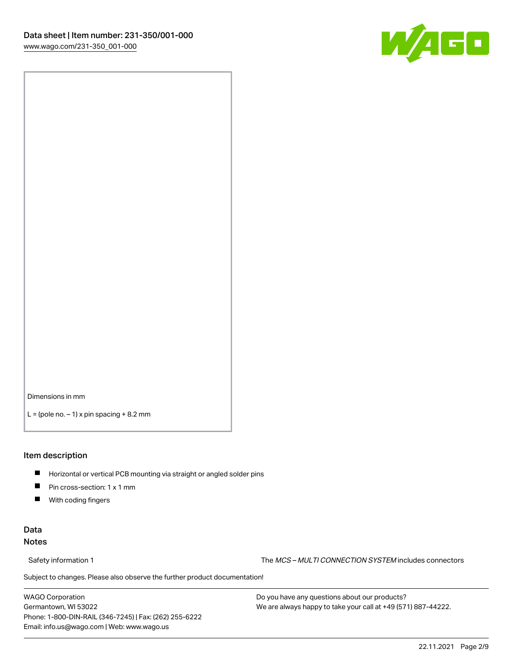

Dimensions in mm

 $L =$  (pole no.  $-1$ ) x pin spacing  $+8.2$  mm

### Item description

- **Horizontal or vertical PCB mounting via straight or angled solder pins**
- **Pin cross-section: 1 x 1 mm**
- $\blacksquare$ With coding fingers

### Data Notes

Safety information 1 The MCS – MULTI CONNECTION SYSTEM includes connectors

Subject to changes. Please also observe the further product documentation!  $\nu$ 

WAGO Corporation Germantown, WI 53022 Phone: 1-800-DIN-RAIL (346-7245) | Fax: (262) 255-6222 Email: info.us@wago.com | Web: www.wago.us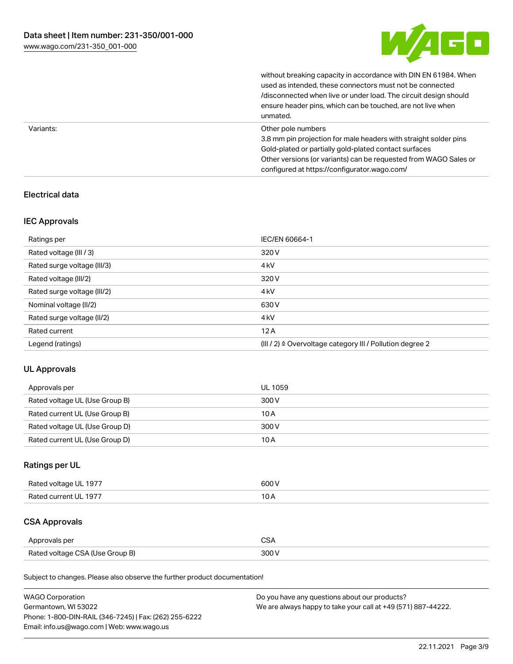

without breaking capacity in accordance with DIN EN 61984. When

|           | used as intended, these connectors must not be connected<br>/disconnected when live or under load. The circuit design should<br>ensure header pins, which can be touched, are not live when<br>unmated.                                                             |
|-----------|---------------------------------------------------------------------------------------------------------------------------------------------------------------------------------------------------------------------------------------------------------------------|
| Variants: | Other pole numbers<br>3.8 mm pin projection for male headers with straight solder pins<br>Gold-plated or partially gold-plated contact surfaces<br>Other versions (or variants) can be requested from WAGO Sales or<br>configured at https://configurator.wago.com/ |

# Electrical data

### IEC Approvals

| Ratings per                 | IEC/EN 60664-1                                                        |
|-----------------------------|-----------------------------------------------------------------------|
| Rated voltage (III / 3)     | 320 V                                                                 |
| Rated surge voltage (III/3) | 4 <sub>kV</sub>                                                       |
| Rated voltage (III/2)       | 320 V                                                                 |
| Rated surge voltage (III/2) | 4 <sub>k</sub> V                                                      |
| Nominal voltage (II/2)      | 630 V                                                                 |
| Rated surge voltage (II/2)  | 4 <sub>k</sub> V                                                      |
| Rated current               | 12A                                                                   |
| Legend (ratings)            | $(III / 2)$ $\triangle$ Overvoltage category III / Pollution degree 2 |

### UL Approvals

| Approvals per                  | UL 1059 |
|--------------------------------|---------|
| Rated voltage UL (Use Group B) | 300 V   |
| Rated current UL (Use Group B) | 10 A    |
| Rated voltage UL (Use Group D) | 300 V   |
| Rated current UL (Use Group D) | 10 A    |

# Ratings per UL

| Rated voltage UL 1977 | 600 V |
|-----------------------|-------|
| Rated current UL 1977 |       |

# CSA Approvals

| Approvals per                   | ~~    |
|---------------------------------|-------|
| Rated voltage CSA (Use Group B) | 3UU 1 |

Subject to changes. Please also observe the further product documentation!

| <b>WAGO Corporation</b>                                | Do you have any questions about our products?                 |
|--------------------------------------------------------|---------------------------------------------------------------|
| Germantown, WI 53022                                   | We are always happy to take your call at +49 (571) 887-44222. |
| Phone: 1-800-DIN-RAIL (346-7245)   Fax: (262) 255-6222 |                                                               |
| Email: info.us@wago.com   Web: www.wago.us             |                                                               |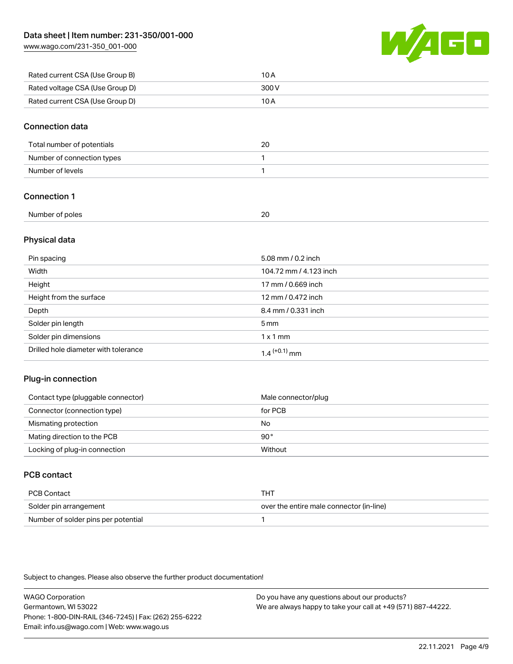[www.wago.com/231-350\\_001-000](http://www.wago.com/231-350_001-000)



| Rated current CSA (Use Group B) | 10 A  |
|---------------------------------|-------|
| Rated voltage CSA (Use Group D) | 300 V |
| Rated current CSA (Use Group D) | 10 A  |

### Connection data

| Total number of potentials | 20 |
|----------------------------|----|
| Number of connection types |    |
| Number of levels           |    |

# Connection 1

| Number of poles<br>.<br>. | $\mathbf{r}$<br>$ -$<br>$\sim$ |
|---------------------------|--------------------------------|
|                           |                                |

# Physical data

| Pin spacing                          | 5.08 mm / 0.2 inch     |
|--------------------------------------|------------------------|
| Width                                | 104.72 mm / 4.123 inch |
| Height                               | 17 mm / 0.669 inch     |
| Height from the surface              | 12 mm / 0.472 inch     |
| Depth                                | 8.4 mm / 0.331 inch    |
| Solder pin length                    | $5 \,\mathrm{mm}$      |
| Solder pin dimensions                | $1 \times 1$ mm        |
| Drilled hole diameter with tolerance | $1.4$ $(+0.1)$ mm      |

### Plug-in connection

| Contact type (pluggable connector) | Male connector/plug |
|------------------------------------|---------------------|
| Connector (connection type)        | for PCB             |
| Mismating protection               | No                  |
| Mating direction to the PCB        | 90°                 |
| Locking of plug-in connection      | Without             |

# PCB contact

| PCB Contact                         | тнт                                      |
|-------------------------------------|------------------------------------------|
| Solder pin arrangement              | over the entire male connector (in-line) |
| Number of solder pins per potential |                                          |

Subject to changes. Please also observe the further product documentation!

WAGO Corporation Germantown, WI 53022 Phone: 1-800-DIN-RAIL (346-7245) | Fax: (262) 255-6222 Email: info.us@wago.com | Web: www.wago.us Do you have any questions about our products? We are always happy to take your call at +49 (571) 887-44222.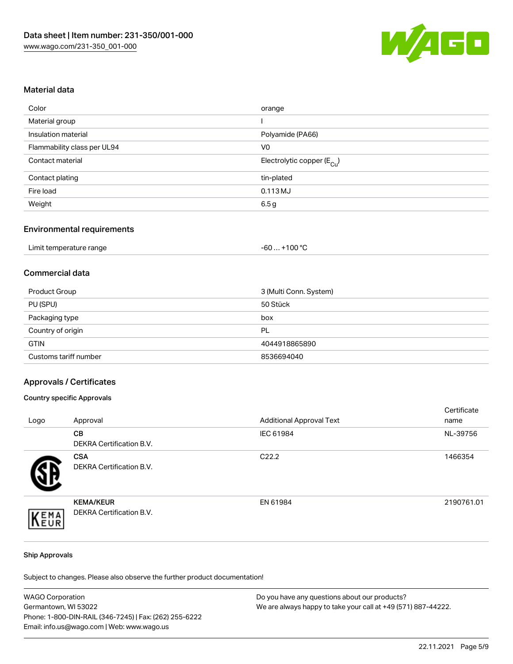

### Material data

| Color                       | orange                                 |
|-----------------------------|----------------------------------------|
| Material group              |                                        |
| Insulation material         | Polyamide (PA66)                       |
| Flammability class per UL94 | V0                                     |
| Contact material            | Electrolytic copper (E <sub>Cu</sub> ) |
| Contact plating             | tin-plated                             |
| Fire load                   | 0.113 MJ                               |
| Weight                      | 6.5 g                                  |
|                             |                                        |

### Environmental requirements

| Limit temperature range | . +100 °C<br>-60 |
|-------------------------|------------------|
|-------------------------|------------------|

# Commercial data

| Product Group         | 3 (Multi Conn. System) |
|-----------------------|------------------------|
| PU (SPU)              | 50 Stück               |
| Packaging type        | box                    |
| Country of origin     | PL                     |
| <b>GTIN</b>           | 4044918865890          |
| Customs tariff number | 8536694040             |

### Approvals / Certificates

### Country specific Approvals

| Logo | Approval                                            | <b>Additional Approval Text</b> | Certificate<br>name |
|------|-----------------------------------------------------|---------------------------------|---------------------|
|      | <b>CB</b><br><b>DEKRA Certification B.V.</b>        | IEC 61984                       | NL-39756            |
|      | <b>CSA</b><br><b>DEKRA Certification B.V.</b>       | C <sub>22.2</sub>               | 1466354             |
| EMA  | <b>KEMA/KEUR</b><br><b>DEKRA Certification B.V.</b> | EN 61984                        | 2190761.01          |

#### Ship Approvals

Subject to changes. Please also observe the further product documentation!

| <b>WAGO Corporation</b>                                | Do you have any questions about our products?                 |
|--------------------------------------------------------|---------------------------------------------------------------|
| Germantown, WI 53022                                   | We are always happy to take your call at +49 (571) 887-44222. |
| Phone: 1-800-DIN-RAIL (346-7245)   Fax: (262) 255-6222 |                                                               |
| Email: info.us@wago.com   Web: www.wago.us             |                                                               |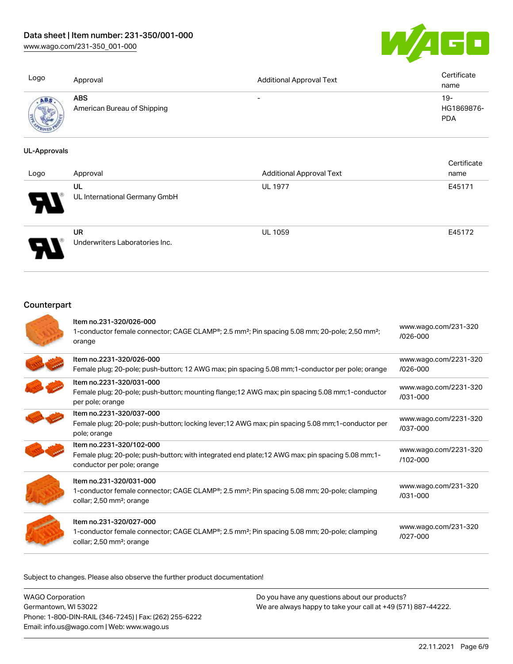[www.wago.com/231-350\\_001-000](http://www.wago.com/231-350_001-000)



| Logo            | Approval                                  | <b>Additional Approval Text</b> | Certificate<br>name             |
|-----------------|-------------------------------------------|---------------------------------|---------------------------------|
| <b>All Mary</b> | <b>ABS</b><br>American Bureau of Shipping | $\overline{\phantom{0}}$        | 19-<br>HG1869876-<br><b>PDA</b> |

### UL-Approvals

| Logo | Approval                                    | <b>Additional Approval Text</b> | Certificate<br>name |
|------|---------------------------------------------|---------------------------------|---------------------|
| Ы    | UL<br>UL International Germany GmbH         | <b>UL 1977</b>                  | E45171              |
|      | <b>UR</b><br>Underwriters Laboratories Inc. | <b>UL 1059</b>                  | E45172              |

# **Counterpart**

| Item no.231-320/026-000<br>1-conductor female connector; CAGE CLAMP <sup>®</sup> ; 2.5 mm <sup>2</sup> ; Pin spacing 5.08 mm; 20-pole; 2,50 mm <sup>2</sup> ;<br>orange                  | www.wago.com/231-320<br>$/026 - 000$  |
|------------------------------------------------------------------------------------------------------------------------------------------------------------------------------------------|---------------------------------------|
| Item no.2231-320/026-000<br>Female plug; 20-pole; push-button; 12 AWG max; pin spacing 5.08 mm; 1-conductor per pole; orange                                                             | www.wago.com/2231-320<br>$/026 - 000$ |
| Item no.2231-320/031-000<br>Female plug; 20-pole; push-button; mounting flange; 12 AWG max; pin spacing 5.08 mm; 1-conductor<br>per pole; orange                                         | www.wago.com/2231-320<br>$/031 - 000$ |
| Item no.2231-320/037-000<br>Female plug; 20-pole; push-button; locking lever; 12 AWG max; pin spacing 5.08 mm; 1-conductor per<br>pole; orange                                           | www.wago.com/2231-320<br>/037-000     |
| Item no.2231-320/102-000<br>Female plug; 20-pole; push-button; with integrated end plate; 12 AWG max; pin spacing 5.08 mm; 1-<br>conductor per pole; orange                              | www.wago.com/2231-320<br>/102-000     |
| Item no.231-320/031-000<br>1-conductor female connector; CAGE CLAMP <sup>®</sup> ; 2.5 mm <sup>2</sup> ; Pin spacing 5.08 mm; 20-pole; clamping<br>collar; 2,50 mm <sup>2</sup> ; orange | www.wago.com/231-320<br>$/031 - 000$  |
| Item no.231-320/027-000<br>1-conductor female connector; CAGE CLAMP <sup>®</sup> ; 2.5 mm <sup>2</sup> ; Pin spacing 5.08 mm; 20-pole; clamping<br>collar; 2,50 mm <sup>2</sup> ; orange | www.wago.com/231-320<br>$1027 - 000$  |

Subject to changes. Please also observe the further product documentation!

WAGO Corporation Germantown, WI 53022 Phone: 1-800-DIN-RAIL (346-7245) | Fax: (262) 255-6222 Email: info.us@wago.com | Web: www.wago.us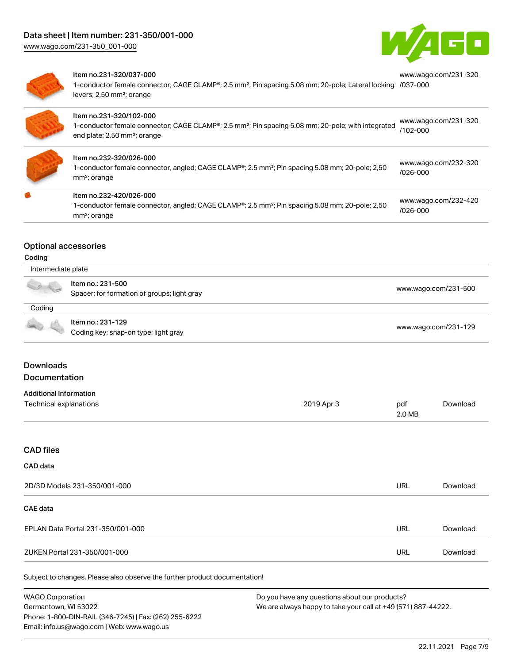

[www.wago.com/231-320](https://www.wago.com/231-320/037-000)



#### Item no.231-320/037-000

1-conductor female connector; CAGE CLAMP®; 2.5 mm²; Pin spacing 5.08 mm; 20-pole; Lateral locking [/037-000](https://www.wago.com/231-320/037-000) levers; 2,50 mm²; orange

| ٠      |
|--------|
| $\sim$ |
|        |
|        |

| Item no.231-320/102-000<br>1-conductor female connector; CAGE CLAMP®; 2.5 mm <sup>2</sup> ; Pin spacing 5.08 mm; 20-pole; with integrated<br>end plate; 2,50 mm <sup>2</sup> ; orange | www.wago.com/231-320<br>/102-000     |
|---------------------------------------------------------------------------------------------------------------------------------------------------------------------------------------|--------------------------------------|
| Item no.232-320/026-000<br>1-conductor female connector, angled; CAGE CLAMP®; 2.5 mm <sup>2</sup> ; Pin spacing 5.08 mm; 20-pole; 2,50<br>mm <sup>2</sup> ; orange                    | www.wago.com/232-320<br>$/026 - 000$ |
| ltem no.232-420/026-000<br>1-conductor female connector, angled; CAGE CLAMP <sup>®</sup> ; 2.5 mm <sup>2</sup> ; Pin spacing 5.08 mm; 20-pole; 2,50<br>mm <sup>2</sup> ; orange       | www.wago.com/232-420<br>$/026 - 000$ |

### Optional accessories

### Coding

| Intermediate plate |                                                                  |                      |  |
|--------------------|------------------------------------------------------------------|----------------------|--|
| a de               | Item no.: 231-500<br>Spacer; for formation of groups; light gray | www.wago.com/231-500 |  |
| Coding             |                                                                  |                      |  |
|                    | Item no.: 231-129<br>Coding key; snap-on type; light gray        | www.wago.com/231-129 |  |

# **Downloads** Documentation

# Additional Information

| Additional Information |            |        |          |
|------------------------|------------|--------|----------|
| Technical explanations | 2019 Apr 3 | pdf    | Download |
|                        |            | 2.0 MB |          |

# CAD files

### CAD data

| 2D/3D Models 231-350/001-000      | URL        | Download |
|-----------------------------------|------------|----------|
| CAE data                          |            |          |
| EPLAN Data Portal 231-350/001-000 | URL        | Download |
| ZUKEN Portal 231-350/001-000      | <b>URL</b> | Download |

Subject to changes. Please also observe the further product documentation!

WAGO Corporation Germantown, WI 53022 Phone: 1-800-DIN-RAIL (346-7245) | Fax: (262) 255-6222 Email: info.us@wago.com | Web: www.wago.us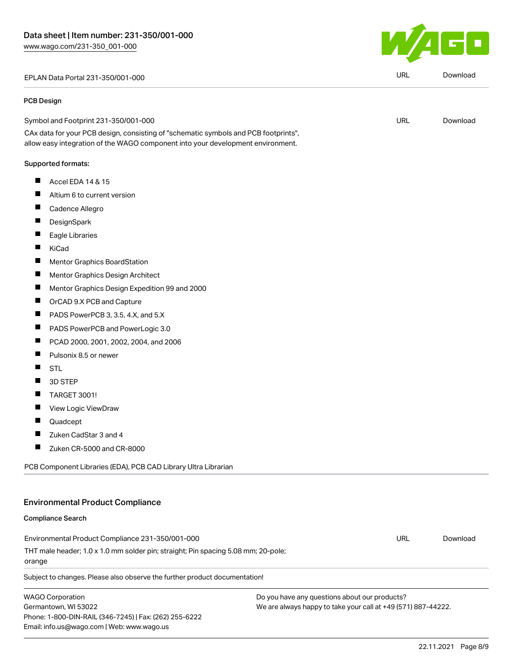EPLAN Data Portal 231-350/001-000 URL [Download](https://www.wago.com/global/d/EPLAN_URLS_231-350_001-000)

#### PCB Design

Symbol and Footprint 231-350/001-000

CAx data for your PCB design, consisting of "schematic symbols and PCB footprints", allow easy integration of the WAGO component into your development environment.

### Supported formats:

- $\blacksquare$ Accel EDA 14 & 15
- $\blacksquare$ Altium 6 to current version
- $\blacksquare$ Cadence Allegro
- $\blacksquare$ **DesignSpark**
- $\blacksquare$ Eagle Libraries
- $\blacksquare$ KiCad
- $\blacksquare$ Mentor Graphics BoardStation
- $\blacksquare$ Mentor Graphics Design Architect
- $\blacksquare$ Mentor Graphics Design Expedition 99 and 2000
- $\blacksquare$ OrCAD 9.X PCB and Capture
- $\blacksquare$ PADS PowerPCB 3, 3.5, 4.X, and 5.X
- П PADS PowerPCB and PowerLogic 3.0
- $\blacksquare$ PCAD 2000, 2001, 2002, 2004, and 2006
- $\blacksquare$ Pulsonix 8.5 or newer
- STL  $\blacksquare$
- $\blacksquare$ 3D STEP
- $\blacksquare$ TARGET 3001!
- $\blacksquare$ View Logic ViewDraw
- $\blacksquare$ Quadcept
- $\blacksquare$ Zuken CadStar 3 and 4
- $\blacksquare$ Zuken CR-5000 and CR-8000

PCB Component Libraries (EDA), PCB CAD Library Ultra Librarian

# Environmental Product Compliance

### Compliance Search

Environmental Product Compliance 231-350/001-000 THT male header; 1.0 x 1.0 mm solder pin; straight; Pin spacing 5.08 mm; 20-pole; orange URL [Download](https://www.wago.com/global/d/ComplianceLinkMediaContainer_231-350_001-000)

Subject to changes. Please also observe the further product documentation!

WAGO Corporation Germantown, WI 53022 Phone: 1-800-DIN-RAIL (346-7245) | Fax: (262) 255-6222 Email: info.us@wago.com | Web: www.wago.us

Do you have any questions about our products? We are always happy to take your call at +49 (571) 887-44222.



URL [Download](https://www.wago.com/global/d/UltraLibrarian_URLS_231-350_001-000)